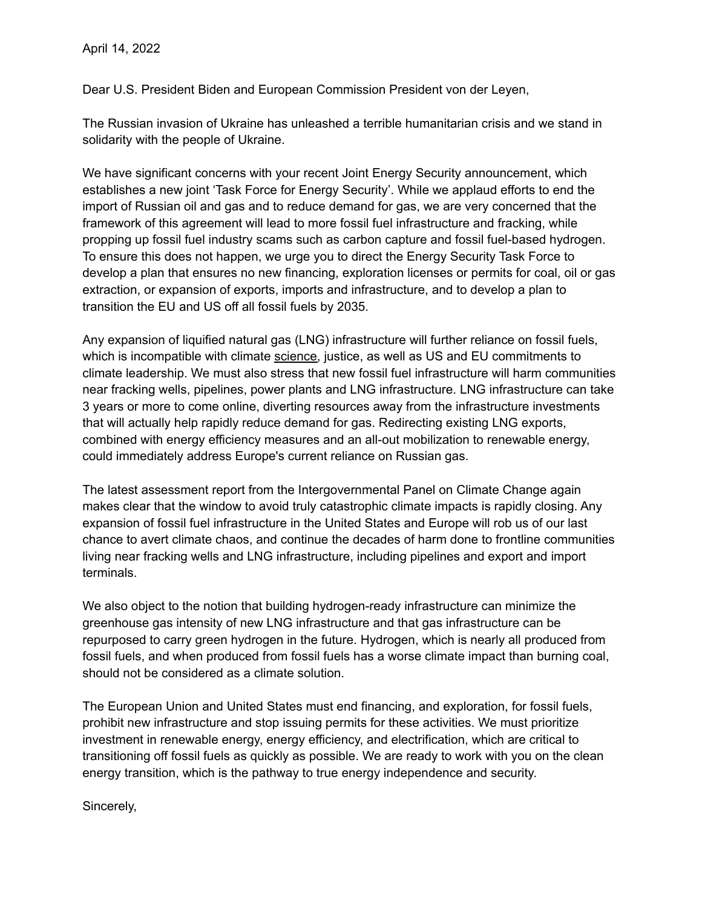Dear U.S. President Biden and European Commission President von der Leyen,

The Russian invasion of Ukraine has unleashed a terrible humanitarian crisis and we stand in solidarity with the people of Ukraine.

We have significant concerns with your recent Joint Energy Security announcement, which establishes a new joint 'Task Force for Energy Security'. While we applaud efforts to end the import of Russian oil and gas and to reduce demand for gas, we are very concerned that the framework of this agreement will lead to more fossil fuel infrastructure and fracking, while propping up fossil fuel industry scams such as carbon capture and fossil fuel-based hydrogen. To ensure this does not happen, we urge you to direct the Energy Security Task Force to develop a plan that ensures no new financing, exploration licenses or permits for coal, oil or gas extraction, or expansion of exports, imports and infrastructure, and to develop a plan to transition the EU and US off all fossil fuels by 2035.

Any expansion of liquified natural gas (LNG) infrastructure will further reliance on fossil fuels, which is incompatible with climate [science,](https://www.nature.com/articles/s41586-019-1364-3.epdf?sharing_token=S32wcIZQEJ88Ybr8tFXX2dRgN0jAjWel9jnR3ZoTv0PdO5WVipRqBUMeBcZf-002NRS2vI09Momxci5bmedA_JIbx5_ZSXFXzzQ7KAN5o9slRb5OACWlGK420EE2sK2mDLxR24jo7FKBHydsgj2TiJnx_Z_NhKr2Ad3tqcJB0vP5wo7H7E8QIoFTmi2GgNOoF25inUTdIdrzUiBP7X4JmgUx-sfoYl8acEeqTZO_H-k%3D&tracking_referrer=www.voanews.com) justice, as well as US and EU commitments to climate leadership. We must also stress that new fossil fuel infrastructure will harm communities near fracking wells, pipelines, power plants and LNG infrastructure. LNG infrastructure can take 3 years or more to come online, diverting resources away from the infrastructure investments that will actually help rapidly reduce demand for gas. Redirecting existing LNG exports, combined with energy efficiency measures and an all-out mobilization to renewable energy, could immediately address Europe's current reliance on Russian gas.

The latest assessment report from the Intergovernmental Panel on Climate Change again makes clear that the window to avoid truly catastrophic climate impacts is rapidly closing. Any expansion of fossil fuel infrastructure in the United States and Europe will rob us of our last chance to avert climate chaos, and continue the decades of harm done to frontline communities living near fracking wells and LNG infrastructure, including pipelines and export and import terminals.

We also object to the notion that building hydrogen-ready infrastructure can minimize the greenhouse gas intensity of new LNG infrastructure and that gas infrastructure can be repurposed to carry green hydrogen in the future. Hydrogen, which is nearly all produced from fossil fuels, and when produced from fossil fuels has a worse climate impact than burning coal, should not be considered as a climate solution.

The European Union and United States must end financing, and exploration, for fossil fuels, prohibit new infrastructure and stop issuing permits for these activities. We must prioritize investment in renewable energy, energy efficiency, and electrification, which are critical to transitioning off fossil fuels as quickly as possible. We are ready to work with you on the clean energy transition, which is the pathway to true energy independence and security.

Sincerely,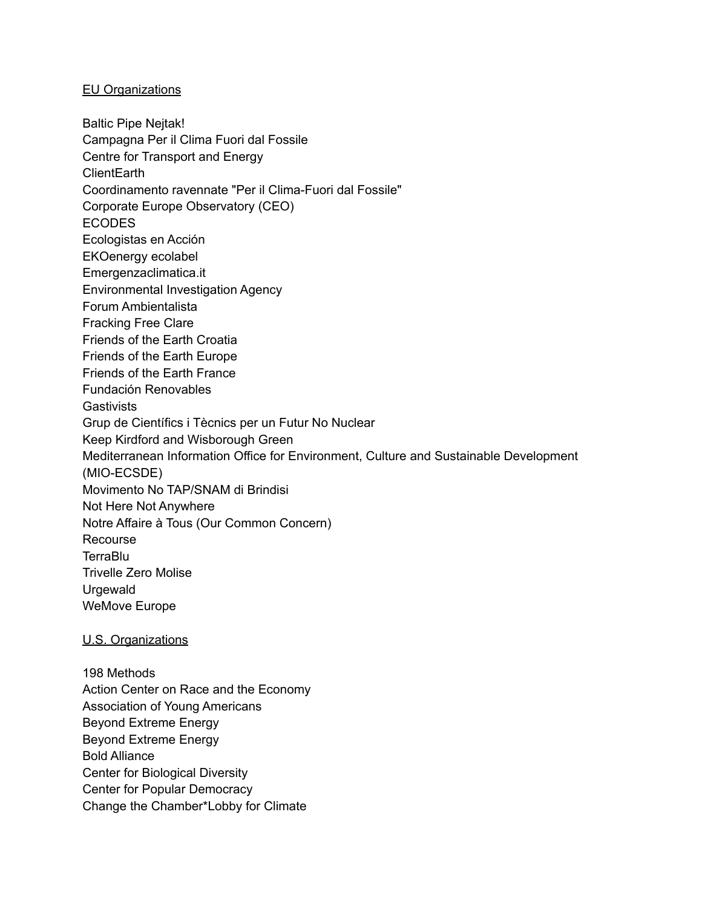## EU Organizations

Baltic Pipe Nejtak! Campagna Per il Clima Fuori dal Fossile Centre for Transport and Energy **ClientEarth** Coordinamento ravennate "Per il Clima-Fuori dal Fossile" Corporate Europe Observatory (CEO) ECODES Ecologistas en Acción EKOenergy ecolabel Emergenzaclimatica.it Environmental Investigation Agency Forum Ambientalista Fracking Free Clare Friends of the Earth Croatia Friends of the Earth Europe Friends of the Earth France Fundación Renovables **Gastivists** Grup de Científics i Tècnics per un Futur No Nuclear Keep Kirdford and Wisborough Green Mediterranean Information Office for Environment, Culture and Sustainable Development (MIO-ECSDE) Movimento No TAP/SNAM di Brindisi Not Here Not Anywhere Notre Affaire à Tous (Our Common Concern) Recourse **TerraBlu** Trivelle Zero Molise Urgewald WeMove Europe

## U.S. Organizations

198 Methods Action Center on Race and the Economy Association of Young Americans Beyond Extreme Energy Beyond Extreme Energy Bold Alliance Center for Biological Diversity Center for Popular Democracy Change the Chamber\*Lobby for Climate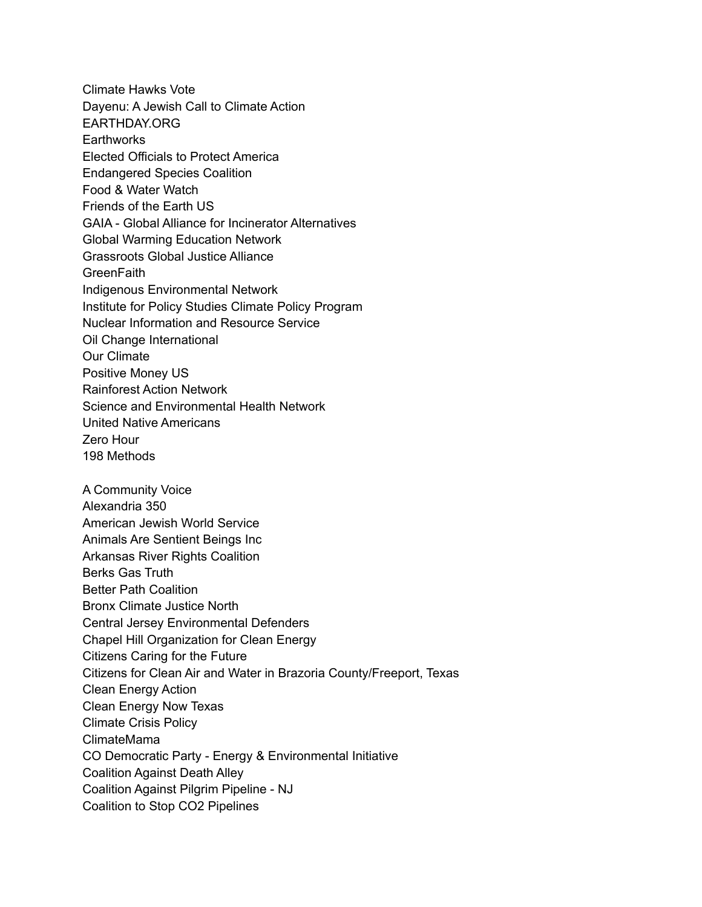Climate Hawks Vote Dayenu: A Jewish Call to Climate Action EARTHDAY.ORG **Earthworks** Elected Officials to Protect America Endangered Species Coalition Food & Water Watch Friends of the Earth US GAIA - Global Alliance for Incinerator Alternatives Global Warming Education Network Grassroots Global Justice Alliance **GreenFaith** Indigenous Environmental Network Institute for Policy Studies Climate Policy Program Nuclear Information and Resource Service Oil Change International Our Climate Positive Money US Rainforest Action Network Science and Environmental Health Network United Native Americans Zero Hour 198 Methods A Community Voice Alexandria 350 American Jewish World Service Animals Are Sentient Beings Inc Arkansas River Rights Coalition Berks Gas Truth Better Path Coalition Bronx Climate Justice North Central Jersey Environmental Defenders Chapel Hill Organization for Clean Energy Citizens Caring for the Future Citizens for Clean Air and Water in Brazoria County/Freeport, Texas Clean Energy Action Clean Energy Now Texas Climate Crisis Policy ClimateMama

CO Democratic Party - Energy & Environmental Initiative

Coalition Against Death Alley

Coalition Against Pilgrim Pipeline - NJ

Coalition to Stop CO2 Pipelines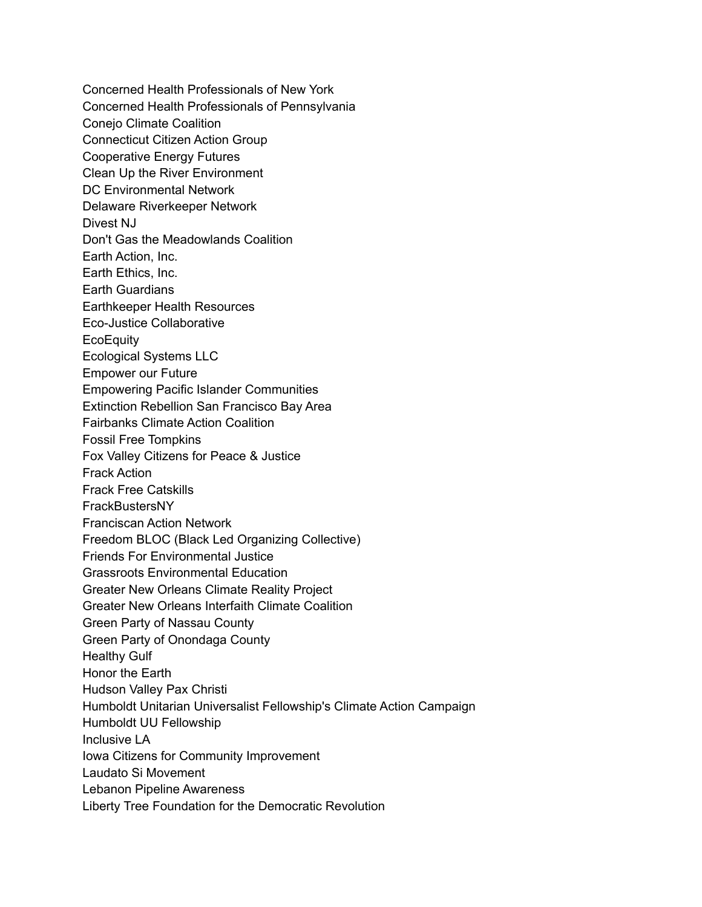Concerned Health Professionals of New York Concerned Health Professionals of Pennsylvania Conejo Climate Coalition Connecticut Citizen Action Group Cooperative Energy Futures Clean Up the River Environment DC Environmental Network Delaware Riverkeeper Network Divest NJ Don't Gas the Meadowlands Coalition Earth Action, Inc. Earth Ethics, Inc. Earth Guardians Earthkeeper Health Resources Eco-Justice Collaborative **EcoEquity** Ecological Systems LLC Empower our Future Empowering Pacific Islander Communities Extinction Rebellion San Francisco Bay Area Fairbanks Climate Action Coalition Fossil Free Tompkins Fox Valley Citizens for Peace & Justice Frack Action Frack Free Catskills **FrackBustersNY** Franciscan Action Network Freedom BLOC (Black Led Organizing Collective) Friends For Environmental Justice Grassroots Environmental Education Greater New Orleans Climate Reality Project Greater New Orleans Interfaith Climate Coalition Green Party of Nassau County Green Party of Onondaga County Healthy Gulf Honor the Earth Hudson Valley Pax Christi Humboldt Unitarian Universalist Fellowship's Climate Action Campaign Humboldt UU Fellowship Inclusive LA Iowa Citizens for Community Improvement Laudato Si Movement Lebanon Pipeline Awareness Liberty Tree Foundation for the Democratic Revolution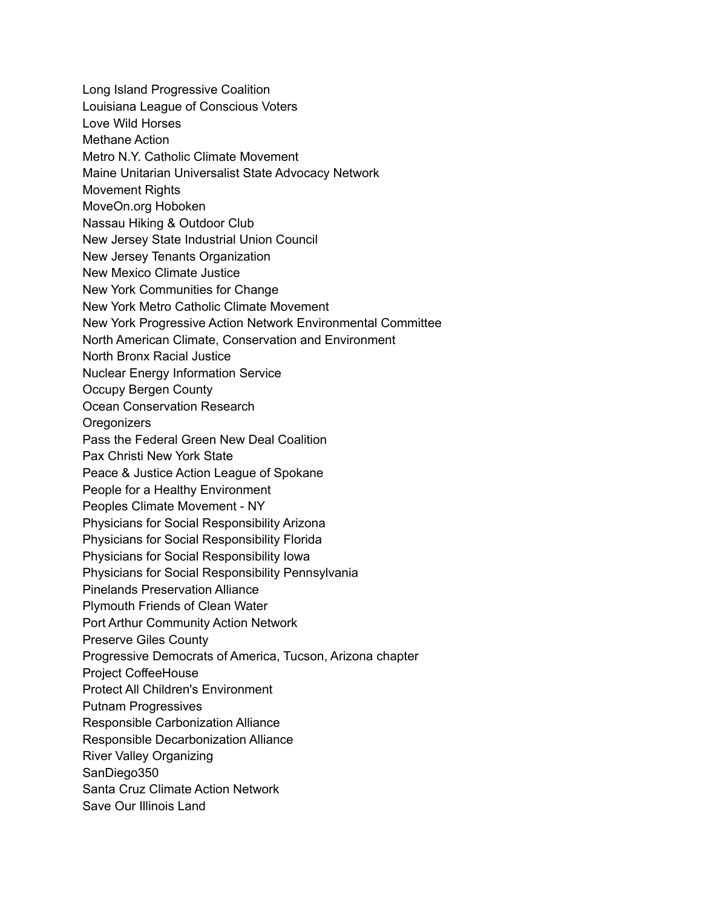Long Island Progressive Coalition Louisiana League of Conscious Voters Love Wild Horses Methane Action Metro N.Y. Catholic Climate Movement Maine Unitarian Universalist State Advocacy Network Movement Rights MoveOn.org Hoboken Nassau Hiking & Outdoor Club New Jersey State Industrial Union Council New Jersey Tenants Organization New Mexico Climate Justice New York Communities for Change New York Metro Catholic Climate Movement New York Progressive Action Network Environmental Committee North American Climate, Conservation and Environment North Bronx Racial Justice Nuclear Energy Information Service Occupy Bergen County Ocean Conservation Research **Oregonizers** Pass the Federal Green New Deal Coalition Pax Christi New York State Peace & Justice Action League of Spokane People for a Healthy Environment Peoples Climate Movement - NY Physicians for Social Responsibility Arizona Physicians for Social Responsibility Florida Physicians for Social Responsibility Iowa Physicians for Social Responsibility Pennsylvania Pinelands Preservation Alliance Plymouth Friends of Clean Water Port Arthur Community Action Network Preserve Giles County Progressive Democrats of America, Tucson, Arizona chapter Project CoffeeHouse Protect All Children's Environment Putnam Progressives Responsible Carbonization Alliance Responsible Decarbonization Alliance River Valley Organizing SanDiego350 Santa Cruz Climate Action Network Save Our Illinois Land